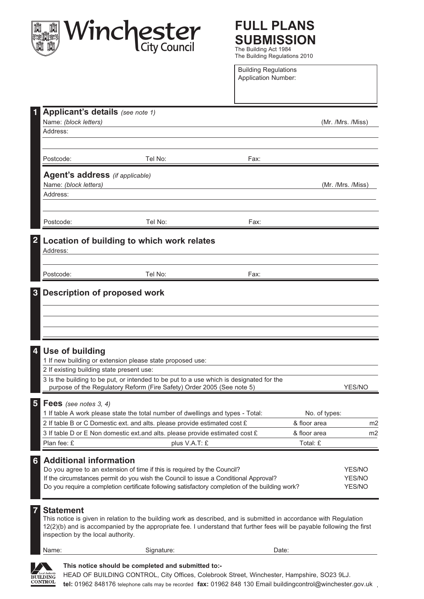

## **FULL PLANS SUBMISSION** The Building Act 1984

The Building Regulations 2010

Building Regulations Application Number:

| Applicant's details (see note 1)                                                     |                                                                                                                                                                   |      |               |                   |
|--------------------------------------------------------------------------------------|-------------------------------------------------------------------------------------------------------------------------------------------------------------------|------|---------------|-------------------|
| Name: (block letters)                                                                |                                                                                                                                                                   |      |               | (Mr. /Mrs. /Miss) |
| Address:                                                                             |                                                                                                                                                                   |      |               |                   |
|                                                                                      |                                                                                                                                                                   |      |               |                   |
| Postcode:                                                                            | Tel No:                                                                                                                                                           | Fax: |               |                   |
| <b>Agent's address</b> (if applicable)                                               |                                                                                                                                                                   |      |               |                   |
| Name: (block letters)                                                                |                                                                                                                                                                   |      |               | (Mr. /Mrs. /Miss) |
| Address:                                                                             |                                                                                                                                                                   |      |               |                   |
|                                                                                      |                                                                                                                                                                   |      |               |                   |
| Postcode:                                                                            | Tel No:                                                                                                                                                           | Fax: |               |                   |
| $\overline{2}$                                                                       | Location of building to which work relates                                                                                                                        |      |               |                   |
| Address:                                                                             |                                                                                                                                                                   |      |               |                   |
| Postcode:                                                                            | Tel No:                                                                                                                                                           | Fax: |               |                   |
|                                                                                      |                                                                                                                                                                   |      |               |                   |
| 3<br><b>Description of proposed work</b>                                             |                                                                                                                                                                   |      |               |                   |
|                                                                                      |                                                                                                                                                                   |      |               |                   |
|                                                                                      |                                                                                                                                                                   |      |               |                   |
|                                                                                      |                                                                                                                                                                   |      |               |                   |
|                                                                                      |                                                                                                                                                                   |      |               |                   |
| 4<br>Use of building                                                                 |                                                                                                                                                                   |      |               |                   |
|                                                                                      | 1 If new building or extension please state proposed use:                                                                                                         |      |               |                   |
| 2 If existing building state present use:                                            |                                                                                                                                                                   |      |               |                   |
|                                                                                      | 3 Is the building to be put, or intended to be put to a use which is designated for the<br>purpose of the Regulatory Reform (Fire Safety) Order 2005 (See note 5) |      |               |                   |
|                                                                                      |                                                                                                                                                                   |      |               | YES/NO            |
| $5\overline{)}$<br><b>Fees</b> (see notes 3, 4)                                      |                                                                                                                                                                   |      |               |                   |
|                                                                                      | 1 If table A work please state the total number of dwellings and types - Total:                                                                                   |      | No. of types: |                   |
|                                                                                      | 2 If table B or C Domestic ext. and alts. please provide estimated cost £                                                                                         |      | & floor area  | m <sub>2</sub>    |
|                                                                                      | 3 If table D or E Non domestic ext. and alts. please provide estimated cost £                                                                                     |      | & floor area  | m2                |
| Plan fee: £                                                                          | plus V.A.T: £                                                                                                                                                     |      | Total: £      |                   |
| <b>Additional information</b><br>6 <sup>1</sup>                                      |                                                                                                                                                                   |      |               |                   |
| Do you agree to an extension of time if this is required by the Council?             |                                                                                                                                                                   |      |               | YES/NO            |
| If the circumstances permit do you wish the Council to issue a Conditional Approval? |                                                                                                                                                                   |      |               | YES/NO            |
|                                                                                      | Do you require a completion certificate following satisfactory completion of the building work?                                                                   |      |               | YES/NO            |
| <b>Statement</b>                                                                     |                                                                                                                                                                   |      |               |                   |
|                                                                                      | This notice is given in relation to the building work as described, and is submitted in accordance with Regulation                                                |      |               |                   |
|                                                                                      | 12(2)(b) and is accompanied by the appropriate fee. I understand that further fees will be payable following the first                                            |      |               |                   |
| inspection by the local authority.                                                   |                                                                                                                                                                   |      |               |                   |
| Name:                                                                                | Signature:                                                                                                                                                        |      | Date:         |                   |
|                                                                                      |                                                                                                                                                                   |      |               |                   |



HEAD OF BUILDING CONTROL, City Offices, Colebrook Street, Winchester, Hampshire, SO23 9LJ. **tel:** 01962 848176 telephone calls may be recorded **fax:** 01962 848 130 Email buildingcontrol@winchester.gov.uk